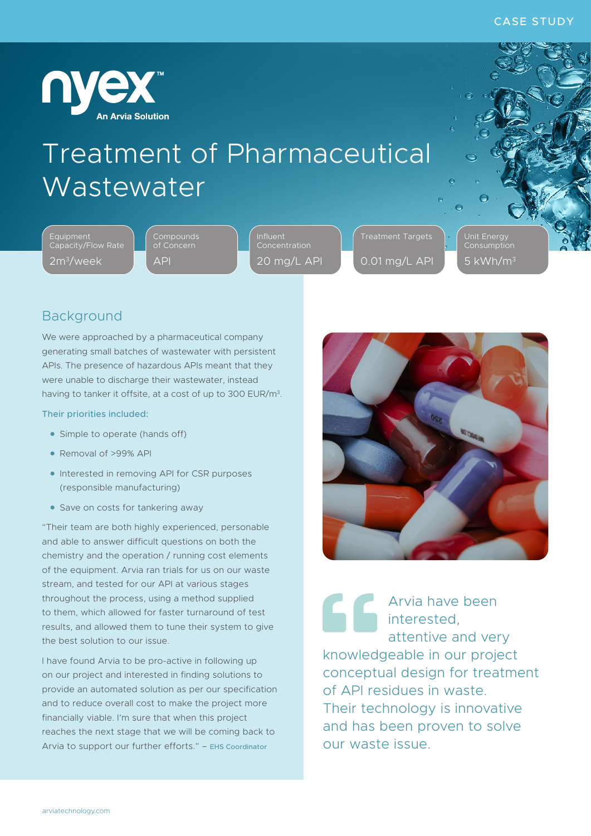

## Treatment of Pharmaceutical Wastewater

Equipment Capacity/Flow Rate 2m3/week

Compounds API

Concentration 20 mg/L API Treatment Targets 0.01 mg/L API Unit Energy 5 kWh/m3

### Background

We were approached by a pharmaceutical company generating small batches of wastewater with persistent APIs. The presence of hazardous APIs meant that they were unable to discharge their wastewater, instead having to tanker it offsite, at a cost of up to 300 EUR/m3.

#### Their priorities included:

- Simple to operate (hands off)
- Removal of >99% API
- Interested in removing API for CSR purposes (responsible manufacturing)
- Save on costs for tankering away

"Their team are both highly experienced, personable and able to answer difficult questions on both the chemistry and the operation / running cost elements of the equipment. Arvia ran trials for us on our waste stream, and tested for our API at various stages throughout the process, using a method supplied to them, which allowed for faster turnaround of test results, and allowed them to tune their system to give the best solution to our issue.

I have found Arvia to be pro-active in following up on our project and interested in finding solutions to provide an automated solution as per our specification and to reduce overall cost to make the project more financially viable. I'm sure that when this project reaches the next stage that we will be coming back to Arvia to support our further efforts." – EHS Coordinator



Arvia have been **interested,** attentive and very knowledgeable in our project conceptual design for treatment of API residues in waste. Their technology is innovative and has been proven to solve our waste issue.